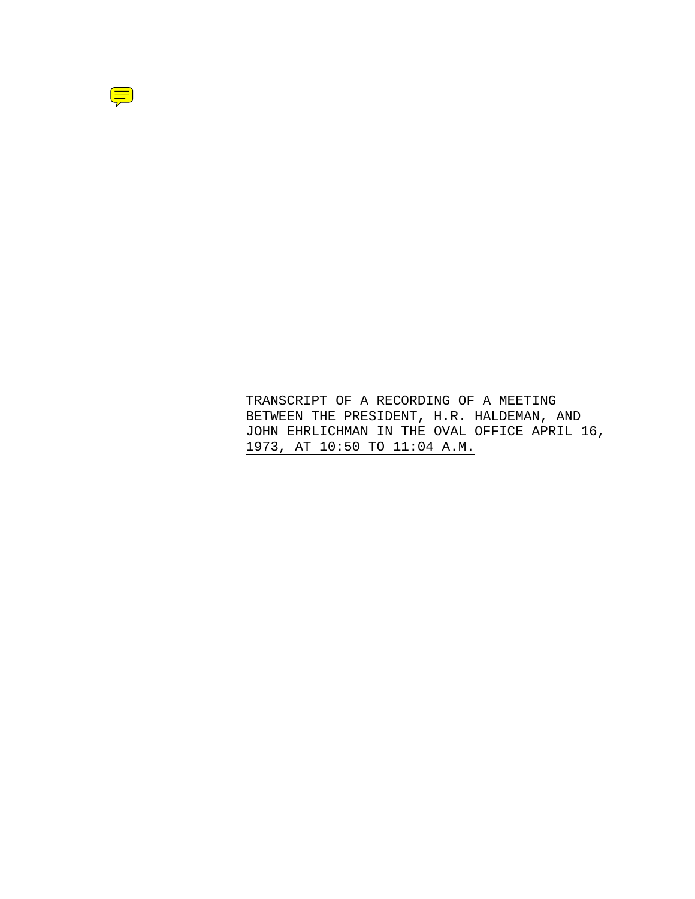

TRANSCRIPT OF A RECORDING OF A MEETING BETWEEN THE PRESIDENT, H.R. HALDEMAN, AND JOHN EHRLICHMAN IN THE OVAL OFFICE APRIL 16, 1973, AT 10:50 TO 11:04 A.M.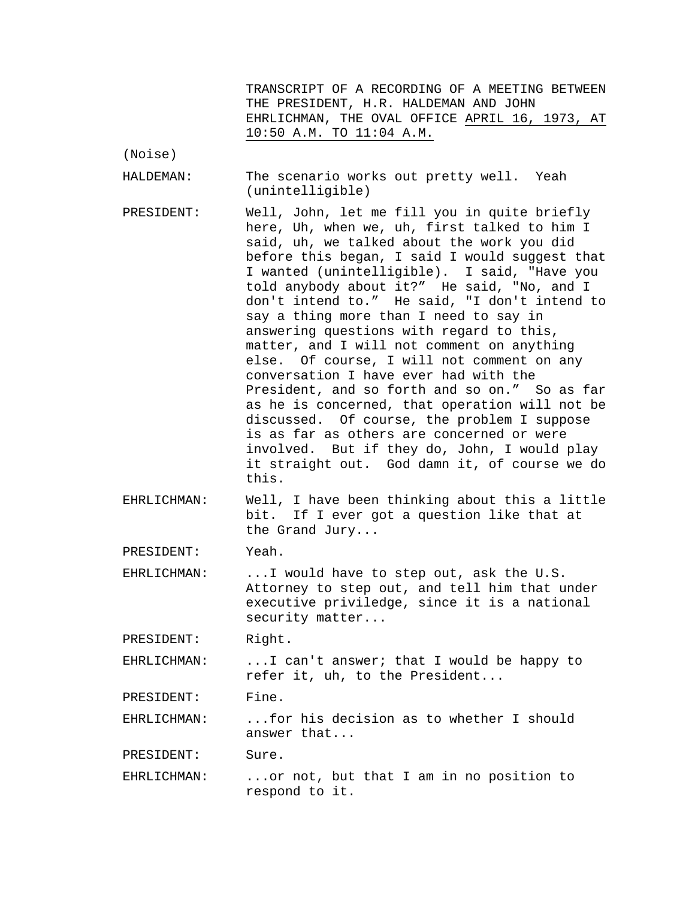TRANSCRIPT OF A RECORDING OF A MEETING BETWEEN THE PRESIDENT, H.R. HALDEMAN AND JOHN EHRLICHMAN, THE OVAL OFFICE APRIL 16, 1973, AT 10:50 A.M. TO 11:04 A.M.

(Noise)

HALDEMAN: The scenario works out pretty well. Yeah (unintelligible)

- PRESIDENT: Well, John, let me fill you in quite briefly here, Uh, when we, uh, first talked to him I said, uh, we talked about the work you did before this began, I said I would suggest that I wanted (unintelligible). I said, "Have you told anybody about it?" He said, "No, and I don't intend to." He said, "I don't intend to say a thing more than I need to say in answering questions with regard to this, matter, and I will not comment on anything else. Of course, I will not comment on any conversation I have ever had with the President, and so forth and so on." So as far as he is concerned, that operation will not be discussed. Of course, the problem I suppose is as far as others are concerned or were involved. But if they do, John, I would play it straight out. God damn it, of course we do this.
- EHRLICHMAN: Well, I have been thinking about this a little bit. If I ever got a question like that at the Grand Jury...

PRESIDENT: Yeah.

EHRLICHMAN: ...I would have to step out, ask the U.S. Attorney to step out, and tell him that under executive priviledge, since it is a national security matter...

PRESIDENT: Right.

EHRLICHMAN: ...I can't answer; that I would be happy to refer it, uh, to the President...

PRESIDENT: Fine.

EHRLICHMAN: ...for his decision as to whether I should answer that...

PRESIDENT: Sure.

EHRLICHMAN: ...or not, but that I am in no position to respond to it.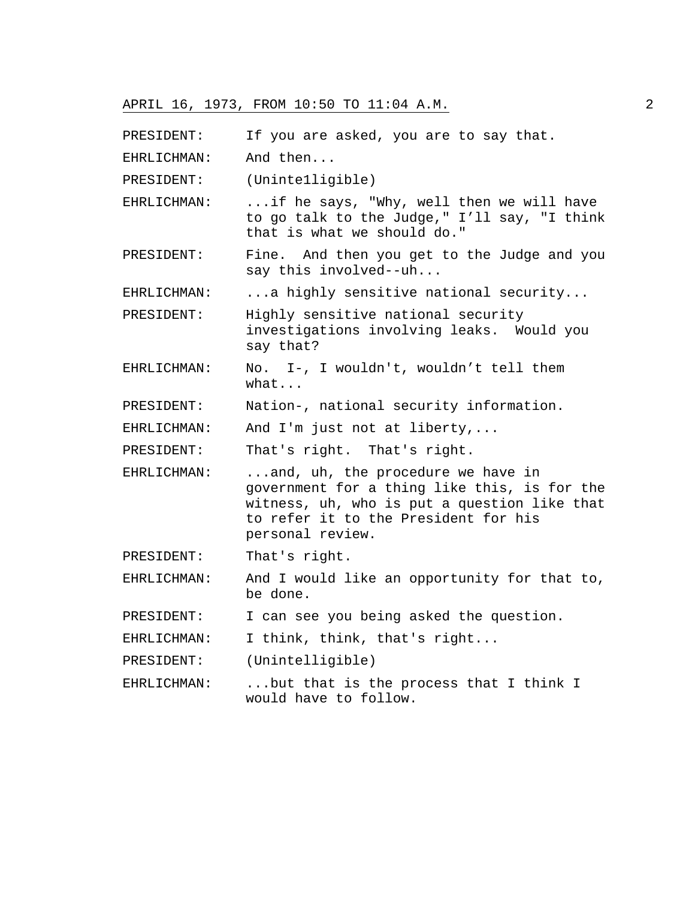PRESIDENT: If you are asked, you are to say that.

EHRLICHMAN: And then...

PRESIDENT: (Uninte1ligible)

- EHRLICHMAN: ...if he says, "Why, well then we will have to go talk to the Judge," I'll say, "I think that is what we should do."
- PRESIDENT: Fine. And then you get to the Judge and you say this involved--uh...

EHRLICHMAN: ...a highly sensitive national security...

PRESIDENT: Highly sensitive national security investigations involving leaks. Would you say that?

- EHRLICHMAN: No. I-, I wouldn't, wouldn't tell them what...
- PRESIDENT: Nation-, national security information.

EHRLICHMAN: And I'm just not at liberty,...

PRESIDENT: That's right. That's right.

- EHRLICHMAN: ...and, uh, the procedure we have in government for a thing like this, is for the witness, uh, who is put a question like that to refer it to the President for his personal review.
- PRESIDENT: That's right.

EHRLICHMAN: And I would like an opportunity for that to, be done.

PRESIDENT: I can see you being asked the question.

EHRLICHMAN: I think, think, that's right...

PRESIDENT: (Unintelligible)

EHRLICHMAN: ...but that is the process that I think I would have to follow.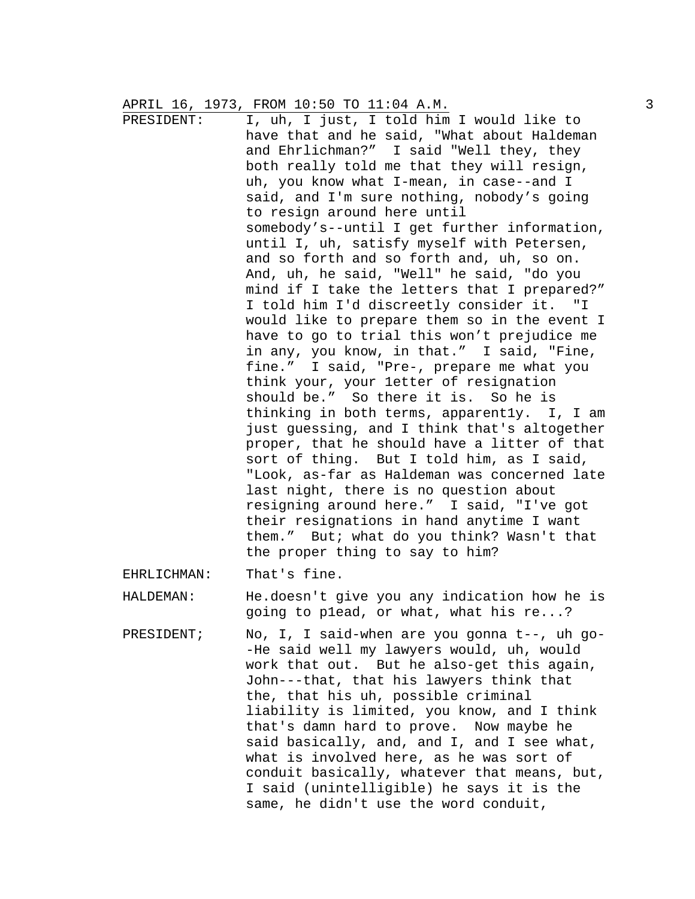PRESIDENT: I, uh, I just, I told him I would like to have that and he said, "What about Haldeman and Ehrlichman?" I said "Well they, they both really told me that they will resign, uh, you know what I-mean, in case--and I said, and I'm sure nothing, nobody's going to resign around here until somebody's--until I get further information, until I, uh, satisfy myself with Petersen, and so forth and so forth and, uh, so on. And, uh, he said, "Well" he said, "do you mind if I take the letters that I prepared?" I told him I'd discreetly consider it. "I would like to prepare them so in the event I have to go to trial this won't prejudice me in any, you know, in that." I said, "Fine, fine." I said, "Pre-, prepare me what you think your, your 1etter of resignation should be." So there it is. So he is thinking in both terms, apparent1y. I, I am just guessing, and I think that's altogether proper, that he should have a litter of that sort of thing. But I told him, as I said, "Look, as-far as Haldeman was concerned late last night, there is no question about resigning around here." I said, "I've got their resignations in hand anytime I want them." But; what do you think? Wasn't that the proper thing to say to him?

EHRLICHMAN: That's fine.

HALDEMAN: He.doesn't give you any indication how he is going to p1ead, or what, what his re...?

PRESIDENT; No, I, I said-when are you gonna t--, uh go- -He said well my lawyers would, uh, would work that out. But he also-get this again, John---that, that his lawyers think that the, that his uh, possible criminal liability is limited, you know, and I think that's damn hard to prove. Now maybe he said basically, and, and I, and I see what, what is involved here, as he was sort of conduit basically, whatever that means, but, I said (unintelligible) he says it is the same, he didn't use the word conduit,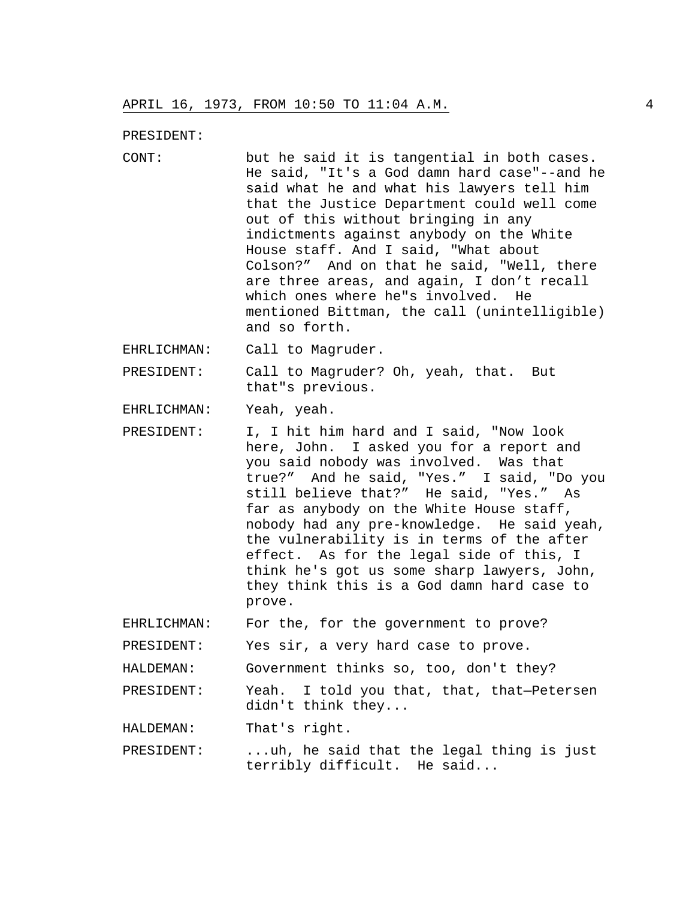PRESIDENT:

CONT: but he said it is tangential in both cases. He said, "It's a God damn hard case"--and he said what he and what his lawyers tell him that the Justice Department could well come out of this without bringing in any indictments against anybody on the White House staff. And I said, "What about Colson?" And on that he said, "Well, there are three areas, and again, I don't recall which ones where he"s involved. He mentioned Bittman, the call (unintelligible) and so forth.

EHRLICHMAN: Call to Magruder.

PRESIDENT: Call to Magruder? Oh, yeah, that. But that"s previous.

EHRLICHMAN: Yeah, yeah.

PRESIDENT: I, I hit him hard and I said, "Now look here, John. I asked you for a report and you said nobody was involved. Was that true?" And he said, "Yes." I said, "Do you still believe that?" He said, "Yes." As far as anybody on the White House staff, nobody had any pre-knowledge. He said yeah, the vulnerability is in terms of the after effect. As for the legal side of this, I think he's got us some sharp lawyers, John, they think this is a God damn hard case to prove.

EHRLICHMAN: For the, for the government to prove?

PRESIDENT: Yes sir, a very hard case to prove.

HALDEMAN: Government thinks so, too, don't they?

PRESIDENT: Yeah. I told you that, that, that—Petersen didn't think they...

HALDEMAN: That's right.

PRESIDENT: ...uh, he said that the legal thing is just terribly difficult. He said...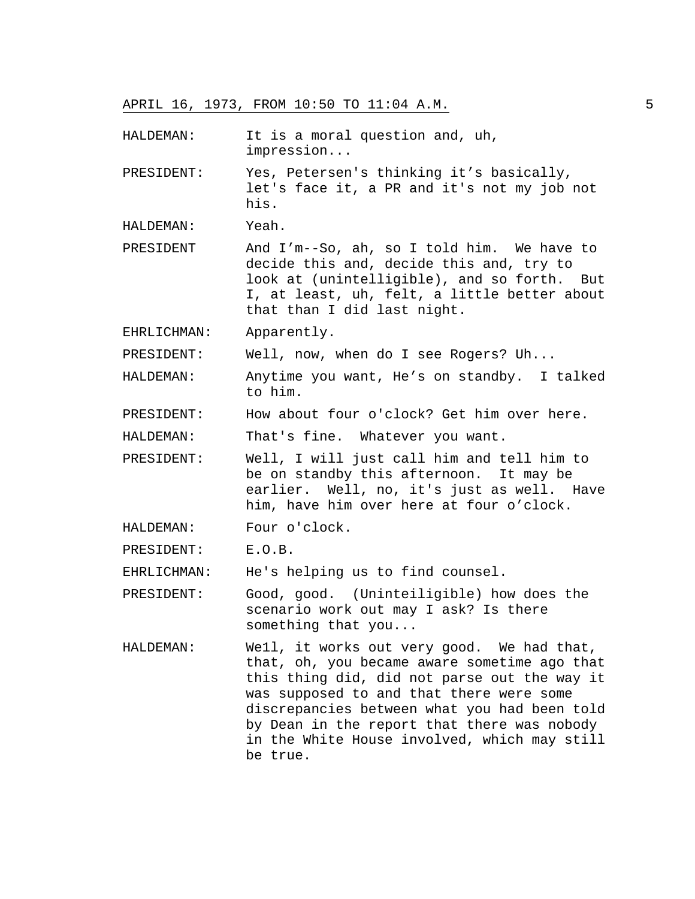- HALDEMAN: It is a moral question and, uh, impression...
- PRESIDENT: Yes, Petersen's thinking it's basically, let's face it, a PR and it's not my job not his.
- HALDEMAN: Yeah.
- PRESIDENT And I'm--So, ah, so I told him. We have to decide this and, decide this and, try to look at (unintelligible), and so forth. But I, at least, uh, felt, a little better about that than I did last night.
- EHRLICHMAN: Apparently.
- PRESIDENT: Well, now, when do I see Rogers? Uh...
- HALDEMAN: Anytime you want, He's on standby. I talked to him.
- PRESIDENT: How about four o'clock? Get him over here.

HALDEMAN: That's fine. Whatever you want.

- PRESIDENT: Well, I will just call him and tell him to be on standby this afternoon. It may be earlier. Well, no, it's just as well. Have him, have him over here at four o'clock.
- HALDEMAN: Four o'clock.
- PRESIDENT: E.O.B.

EHRLICHMAN: He's helping us to find counsel.

PRESIDENT: Good, good. (Uninteiligible) how does the scenario work out may I ask? Is there something that you...

HALDEMAN: We1l, it works out very good. We had that, that, oh, you became aware sometime ago that this thing did, did not parse out the way it was supposed to and that there were some discrepancies between what you had been told by Dean in the report that there was nobody in the White House involved, which may still be true.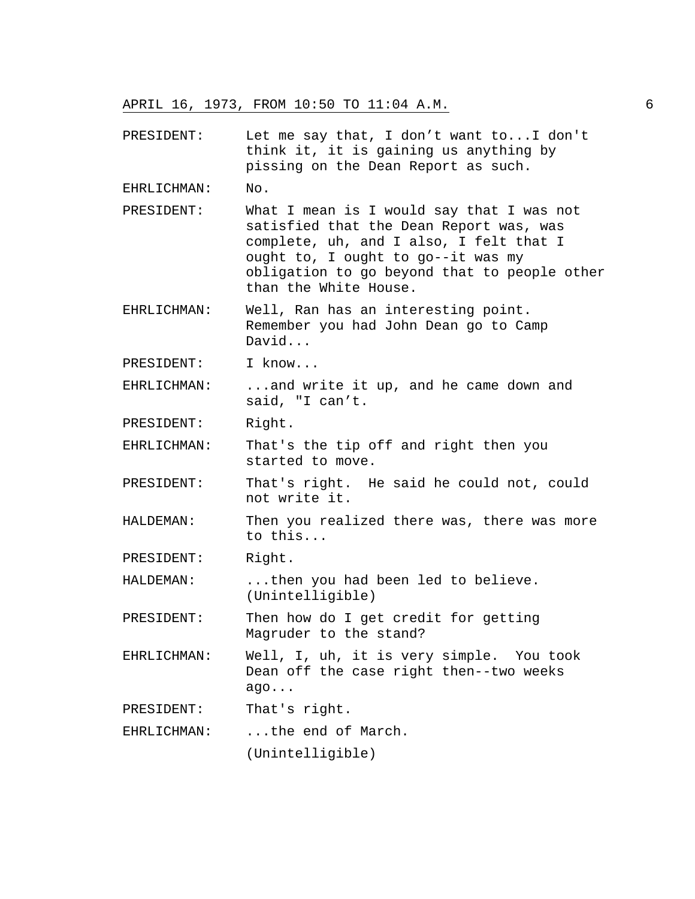PRESIDENT: Let me say that, I don't want to...I don't think it, it is gaining us anything by pissing on the Dean Report as such. EHRLICHMAN: No. PRESIDENT: What I mean is I would say that I was not satisfied that the Dean Report was, was complete, uh, and I also, I felt that I ought to, I ought to go--it was my obligation to go beyond that to people other than the White House. EHRLICHMAN: Well, Ran has an interesting point. Remember you had John Dean go to Camp David... PRESIDENT: I know... EHRLICHMAN: ...and write it up, and he came down and said, "I can't. PRESIDENT: Right. EHRLICHMAN: That's the tip off and right then you started to move. PRESIDENT: That's right. He said he could not, could not write it. HALDEMAN: Then you realized there was, there was more to this... PRESIDENT: Right. HALDEMAN: ...then you had been led to believe. (Unintelligible) PRESIDENT: Then how do I get credit for getting Magruder to the stand? EHRLICHMAN: Well, I, uh, it is very simple. You took Dean off the case right then--two weeks ago... PRESIDENT: That's right.

EHRLICHMAN: ...the end of March.

(Unintelligible)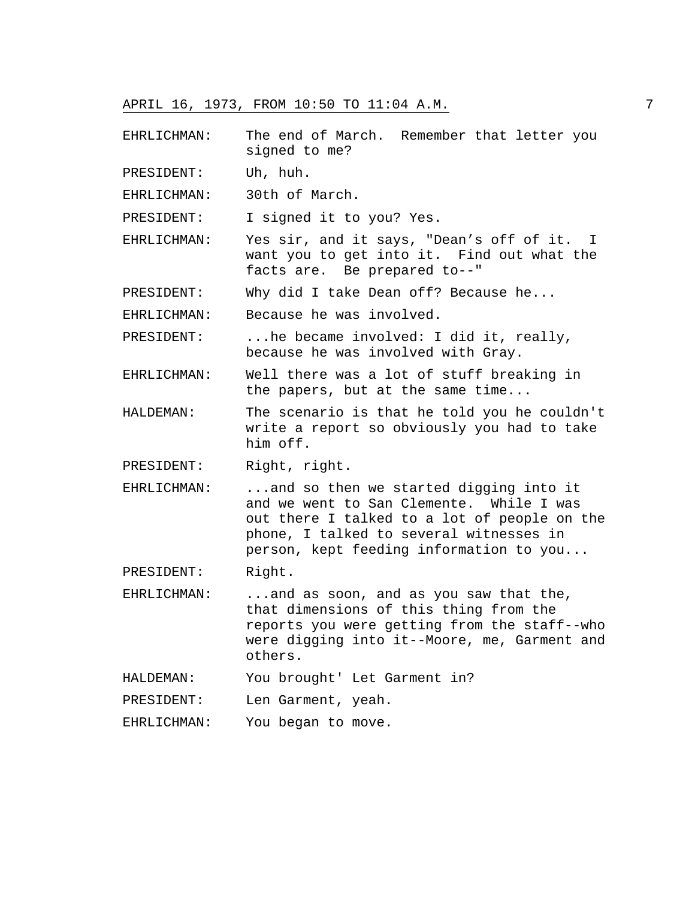EHRLICHMAN: The end of March. Remember that letter you signed to me?

PRESIDENT: Uh, huh.

EHRLICHMAN: 30th of March.

PRESIDENT: I signed it to you? Yes.

EHRLICHMAN: Yes sir, and it says, "Dean's off of it. I want you to get into it. Find out what the facts are. Be prepared to--"

PRESIDENT: Why did I take Dean off? Because he...

EHRLICHMAN: Because he was involved.

PRESIDENT: ...he became involved: I did it, really, because he was involved with Gray.

- EHRLICHMAN: Well there was a lot of stuff breaking in the papers, but at the same time...
- HALDEMAN: The scenario is that he told you he couldn't write a report so obviously you had to take him off.

PRESIDENT: Right, right.

EHRLICHMAN: ...and so then we started digging into it and we went to San Clemente. While I was out there I talked to a lot of people on the phone, I talked to several witnesses in person, kept feeding information to you...

PRESIDENT: Right.

EHRLICHMAN: ...and as soon, and as you saw that the, that dimensions of this thing from the reports you were getting from the staff--who were digging into it--Moore, me, Garment and others.

HALDEMAN: You brought' Let Garment in?

PRESIDENT: Len Garment, yeah.

EHRLICHMAN: You began to move.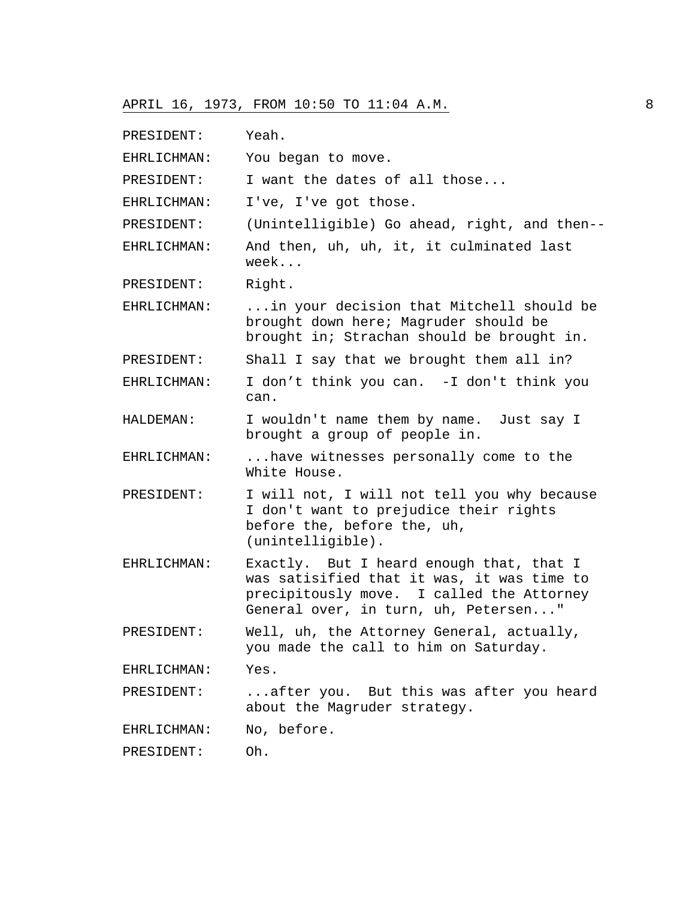PRESIDENT: Yeah. EHRLICHMAN: You began to move. PRESIDENT: I want the dates of all those... EHRLICHMAN: I've, I've got those. PRESIDENT: (Unintelligible) Go ahead, right, and then-- EHRLICHMAN: And then, uh, uh, it, it culminated last week... PRESIDENT: Right. EHRLICHMAN: ...in your decision that Mitchell should be brought down here; Magruder should be brought in; Strachan should be brought in. PRESIDENT: Shall I say that we brought them all in? EHRLICHMAN: I don't think you can. -I don't think you can. HALDEMAN: I wouldn't name them by name. Just say I brought a group of people in. EHRLICHMAN: ...have witnesses personally come to the White House. PRESIDENT: I will not, I will not tell you why because I don't want to prejudice their rights before the, before the, uh, (unintelligible). EHRLICHMAN: Exactly. But I heard enough that, that I was satisified that it was, it was time to precipitously move. I called the Attorney General over, in turn, uh, Petersen..." PRESIDENT: Well, uh, the Attorney General, actually, you made the call to him on Saturday. EHRLICHMAN: Yes. PRESIDENT: ...after you. But this was after you heard about the Magruder strategy. EHRLICHMAN: No, before. PRESIDENT: Oh.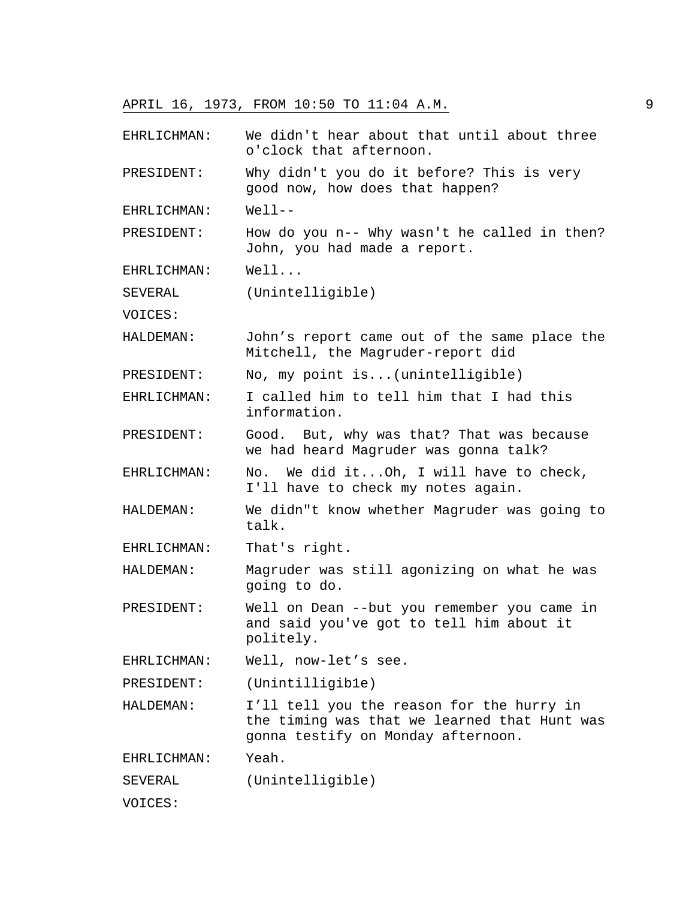EHRLICHMAN: We didn't hear about that until about three o'clock that afternoon.

PRESIDENT: Why didn't you do it before? This is very good now, how does that happen?

EHRLICHMAN: Well--

PRESIDENT: How do you n-- Why wasn't he called in then? John, you had made a report.

EHRLICHMAN: Well...

SEVERAL (Unintelligible)

VOICES:

HALDEMAN: John's report came out of the same place the Mitchell, the Magruder-report did

PRESIDENT: No, my point is...(unintelligible)

EHRLICHMAN: I called him to tell him that I had this information.

PRESIDENT: Good. But, why was that? That was because we had heard Magruder was gonna talk?

EHRLICHMAN: No. We did it...Oh, I will have to check, I'll have to check my notes again.

HALDEMAN: We didn"t know whether Magruder was going to talk.

EHRLICHMAN: That's right.

HALDEMAN: Magruder was still agonizing on what he was going to do.

PRESIDENT: Well on Dean --but you remember you came in and said you've got to tell him about it politely.

EHRLICHMAN: Well, now-let's see.

PRESIDENT: (Unintilligib1e)

HALDEMAN: I'll tell you the reason for the hurry in the timing was that we learned that Hunt was gonna testify on Monday afternoon.

EHRLICHMAN: Yeah.

SEVERAL (Unintelligible)

VOICES: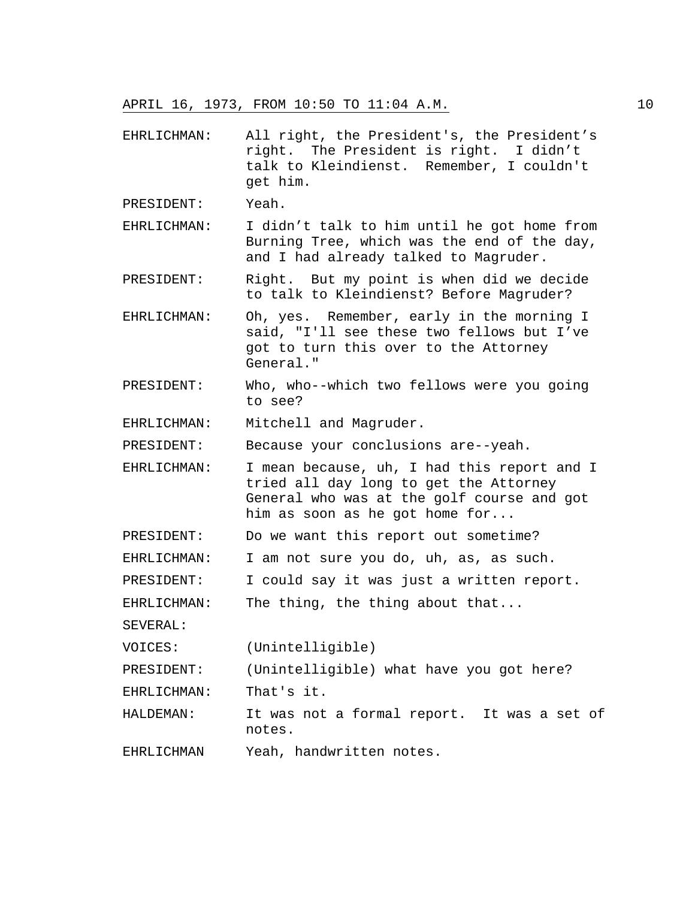EHRLICHMAN: All right, the President's, the President's right. The President is right. I didn't talk to Kleindienst. Remember, I couldn't get him.

PRESIDENT: Yeah.

- EHRLICHMAN: I didn't talk to him until he got home from Burning Tree, which was the end of the day, and I had already talked to Magruder.
- PRESIDENT: Right. But my point is when did we decide to talk to Kleindienst? Before Magruder?
- EHRLICHMAN: Oh, yes. Remember, early in the morning I said, "I'll see these two fellows but I've got to turn this over to the Attorney General."
- PRESIDENT: Who, who--which two fellows were you going to see?
- EHRLICHMAN: Mitchell and Magruder.

PRESIDENT: Because your conclusions are--yeah.

- EHRLICHMAN: I mean because, uh, I had this report and I tried all day long to get the Attorney General who was at the golf course and got him as soon as he got home for...
- PRESIDENT: Do we want this report out sometime?
- EHRLICHMAN: I am not sure you do, uh, as, as such.
- PRESIDENT: I could say it was just a written report.

```
EHRLICHMAN: The thing, the thing about that...
```
SEVERAL:

VOICES: (Unintelligible)

PRESIDENT: (Unintelligible) what have you got here?

EHRLICHMAN: That's it.

- HALDEMAN: It was not a formal report. It was a set of notes.
- EHRLICHMAN Yeah, handwritten notes.